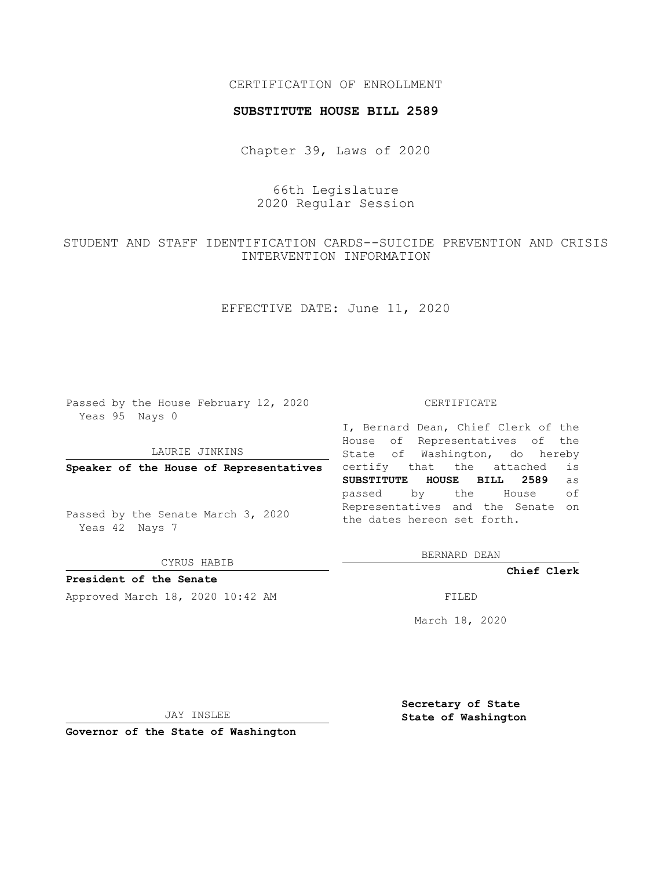## CERTIFICATION OF ENROLLMENT

### **SUBSTITUTE HOUSE BILL 2589**

Chapter 39, Laws of 2020

# 66th Legislature 2020 Regular Session

# STUDENT AND STAFF IDENTIFICATION CARDS--SUICIDE PREVENTION AND CRISIS INTERVENTION INFORMATION

EFFECTIVE DATE: June 11, 2020

Passed by the House February 12, 2020 Yeas 95 Nays 0

#### LAURIE JINKINS

**Speaker of the House of Representatives**

Passed by the Senate March 3, 2020 Yeas 42 Nays 7

CYRUS HABIB

**President of the Senate**

Approved March 18, 2020 10:42 AM FILED

#### CERTIFICATE

I, Bernard Dean, Chief Clerk of the House of Representatives of the State of Washington, do hereby certify that the attached is **SUBSTITUTE HOUSE BILL 2589** as passed by the House of Representatives and the Senate on the dates hereon set forth.

BERNARD DEAN

**Chief Clerk**

March 18, 2020

JAY INSLEE

**Governor of the State of Washington**

**Secretary of State State of Washington**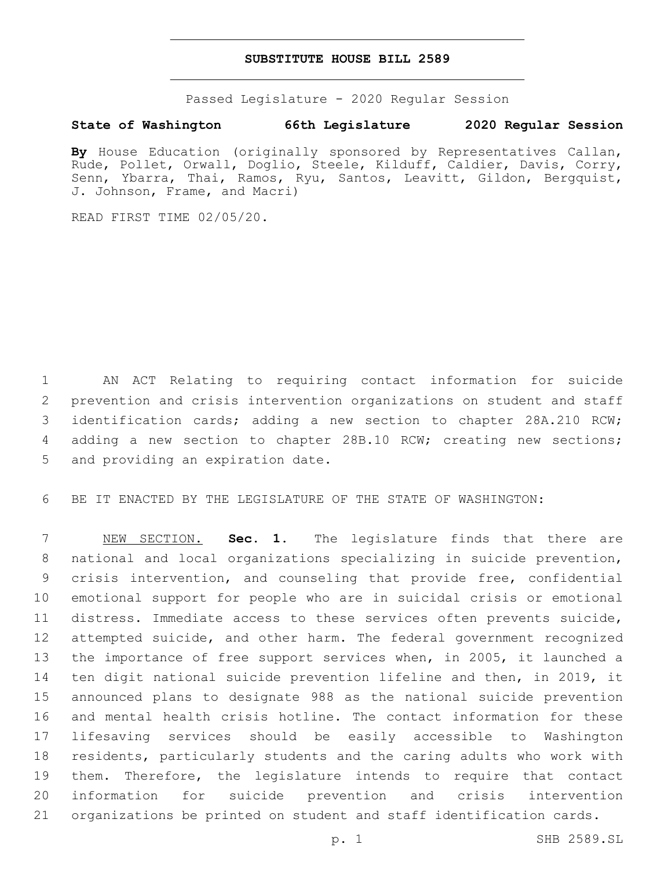### **SUBSTITUTE HOUSE BILL 2589**

Passed Legislature - 2020 Regular Session

## **State of Washington 66th Legislature 2020 Regular Session**

By House Education (originally sponsored by Representatives Callan, Rude, Pollet, Orwall, Doglio, Steele, Kilduff, Caldier, Davis, Corry, Senn, Ybarra, Thai, Ramos, Ryu, Santos, Leavitt, Gildon, Bergquist, J. Johnson, Frame, and Macri)

READ FIRST TIME 02/05/20.

 AN ACT Relating to requiring contact information for suicide prevention and crisis intervention organizations on student and staff identification cards; adding a new section to chapter 28A.210 RCW; adding a new section to chapter 28B.10 RCW; creating new sections; 5 and providing an expiration date.

BE IT ENACTED BY THE LEGISLATURE OF THE STATE OF WASHINGTON:

 NEW SECTION. **Sec. 1.** The legislature finds that there are national and local organizations specializing in suicide prevention, crisis intervention, and counseling that provide free, confidential emotional support for people who are in suicidal crisis or emotional distress. Immediate access to these services often prevents suicide, attempted suicide, and other harm. The federal government recognized the importance of free support services when, in 2005, it launched a ten digit national suicide prevention lifeline and then, in 2019, it announced plans to designate 988 as the national suicide prevention and mental health crisis hotline. The contact information for these lifesaving services should be easily accessible to Washington residents, particularly students and the caring adults who work with them. Therefore, the legislature intends to require that contact information for suicide prevention and crisis intervention organizations be printed on student and staff identification cards.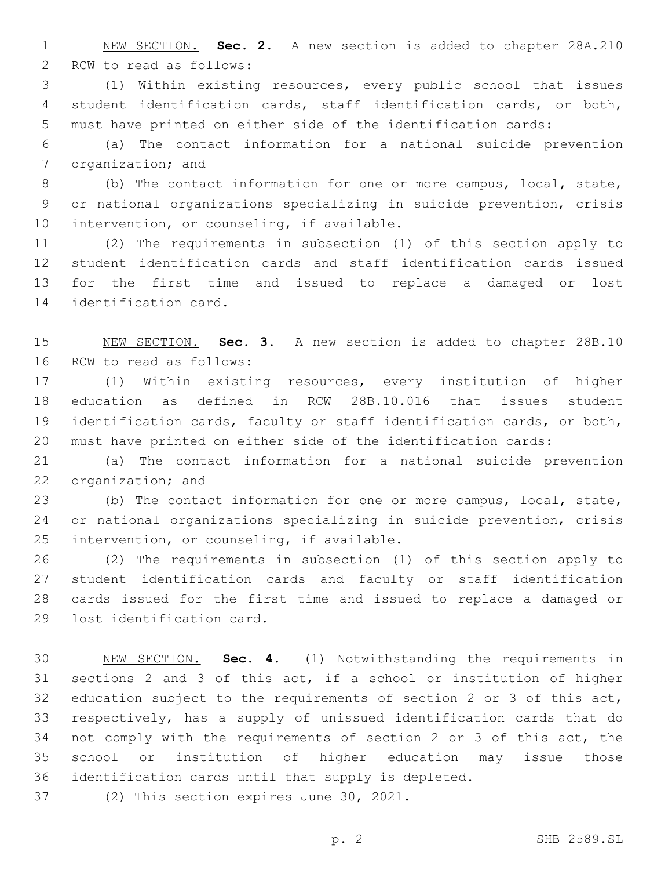NEW SECTION. **Sec. 2.** A new section is added to chapter 28A.210 2 RCW to read as follows:

 (1) Within existing resources, every public school that issues student identification cards, staff identification cards, or both, must have printed on either side of the identification cards:

 (a) The contact information for a national suicide prevention 7 organization; and

 (b) The contact information for one or more campus, local, state, or national organizations specializing in suicide prevention, crisis 10 intervention, or counseling, if available.

 (2) The requirements in subsection (1) of this section apply to student identification cards and staff identification cards issued for the first time and issued to replace a damaged or lost 14 identification card.

 NEW SECTION. **Sec. 3.** A new section is added to chapter 28B.10 16 RCW to read as follows:

 (1) Within existing resources, every institution of higher education as defined in RCW 28B.10.016 that issues student identification cards, faculty or staff identification cards, or both, must have printed on either side of the identification cards:

 (a) The contact information for a national suicide prevention 22 organization; and

 (b) The contact information for one or more campus, local, state, or national organizations specializing in suicide prevention, crisis 25 intervention, or counseling, if available.

 (2) The requirements in subsection (1) of this section apply to student identification cards and faculty or staff identification cards issued for the first time and issued to replace a damaged or 29 lost identification card.

 NEW SECTION. **Sec. 4.** (1) Notwithstanding the requirements in sections 2 and 3 of this act, if a school or institution of higher education subject to the requirements of section 2 or 3 of this act, respectively, has a supply of unissued identification cards that do not comply with the requirements of section 2 or 3 of this act, the school or institution of higher education may issue those identification cards until that supply is depleted.

37 (2) This section expires June 30, 2021.